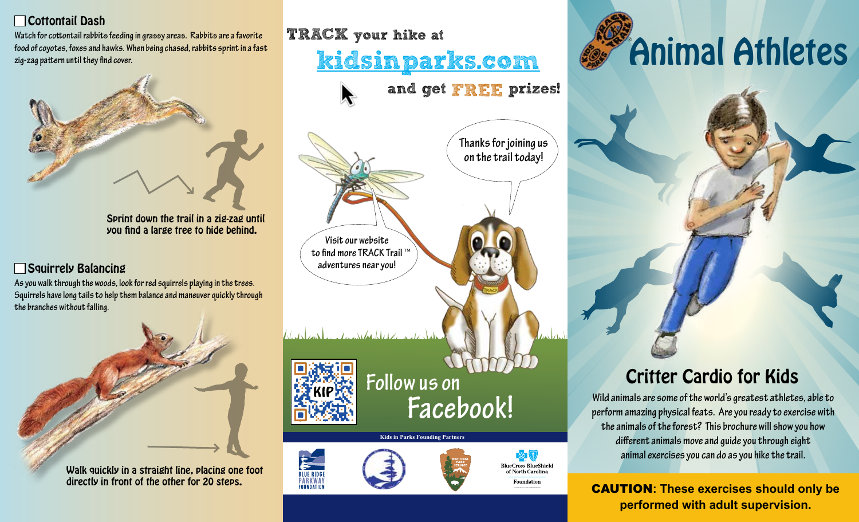## Cottontail Dash

**Watch for cottontail rabbits feeding in grassy areas. Rabbits are a favorite food of coyotes, foxes and hawks. When being chased, rabbits sprint in a fast zig-zag pattern until they find cover.**



Sprint down the trail in a zig-zag until you find a large tree to hide behind.

#### Squirrely Balancing

**As you walk through the woods, look for red squirrels playing in the trees. Squirrels have long tails to help them balance and maneuver quickly through the branches without falling.**



Walk quickly in a straight line, placing one foot directly in front of the other for 20 steps.

# TRACK your hike at kidsinparks.com

**Thanks for joining us on the trail today! Visit our website**  ™ **to find more TRACK Trail adventures near you!** <u>transformation and state</u>

and get FREE prizes!



**Follow us on Facebook!**

#### **Kids in Parks Founding Partners**





西图

of North Carolina



## Critter Cardio for Kids

**Wild animals are some of the world's greatest athletes, able to perform amazing physical feats. Are you ready to exercise with the animals of the forest? This brochure will show you how different animals move and guide you through eight animal exercises you can do as you hike the trail.** 

FARKWAY **DIRECTLY IN THE OCEAN CONSUMING THE OCAUTION: These exercises should only be performed with adult supervision.**